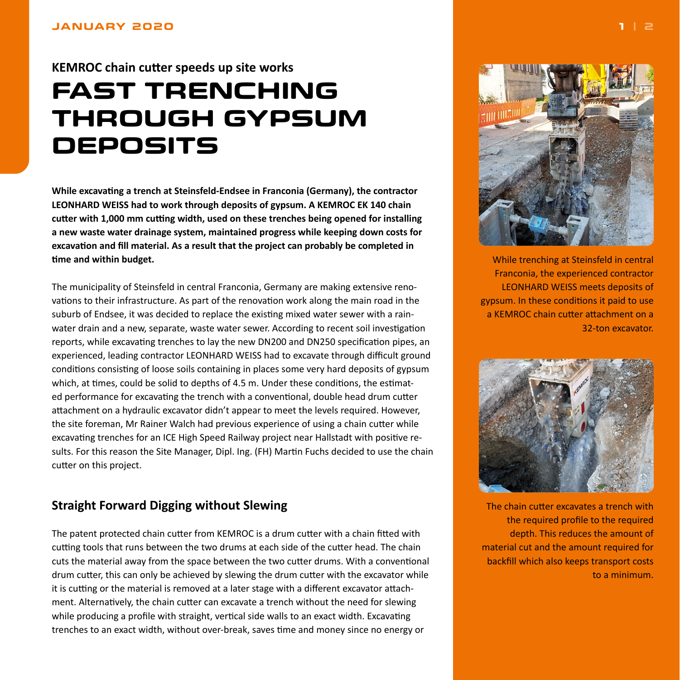# <span id="page-0-0"></span>**KEMROC chain cutter speeds up site works**

# **FAST TRENCHING THROUGH GYPSUM DEPOSITS**

**While excavating a trench at Steinsfeld-Endsee in Franconia (Germany), the contractor LEONHARD WEISS had to work through deposits of gypsum. A KEMROC EK 140 chain cutter with 1,000 mm cutting width, used on these trenches being opened for installing a new waste water drainage system, maintained progress while keeping down costs for excavation and fill material. As a result that the project can probably be completed in time and within budget.**

The municipality of Steinsfeld in central Franconia, Germany are making extensive renovations to their infrastructure. As part of the renovation work along the main road in the suburb of Endsee, it was decided to replace the existing mixed water sewer with a rainwater drain and a new, separate, waste water sewer. According to recent soil investigation reports, while excavating trenches to lay the new DN200 and DN250 specification pipes, an experienced, leading contractor LEONHARD WEISS had to excavate through difficult ground conditions consisting of loose soils containing in places some very hard deposits of gypsum which, at times, could be solid to depths of 4.5 m. Under these conditions, the estimated performance for excavating the trench with a conventional, double head drum cutter attachment on a hydraulic excavator didn't appear to meet the levels required. However, the site foreman, Mr Rainer Walch had previous experience of using a chain cutter while excavating trenches for an ICE High Speed Railway project near Hallstadt with positive results. For this reason the Site Manager, Dipl. Ing. (FH) Martin Fuchs decided to use the chain cutter on this project.

### **Straight Forward Digging without Slewing**

The patent protected chain cutter from KEMROC is a drum cutter with a chain fitted with cutting tools that runs between the two drums at each side of the cutter head. The chain cuts the material away from the space between the two cutter drums. With a conventional drum cutter, this can only be achieved by slewing the drum cutter with the excavator while it is cutting or the material is removed at a later stage with a different excavator attachment. Alternatively, the chain cutter can excavate a trench without the need for slewing while producing a profile with straight, vertical side walls to an exact width. Excavating trenches to an exact width, without over-break, saves time and money since no energy or



While trenching at Steinsfeld in central Franconia, the experienced contractor LEONHARD WEISS meets deposits of gypsum. In these conditions it paid to use a KEMROC chain cutter attachment on a 32-ton excavator.



The chain cutter excavates a trench with the required profile to the required depth. This reduces the amount of material cut and the amount required for backfill which also keeps transport costs to a minimum.